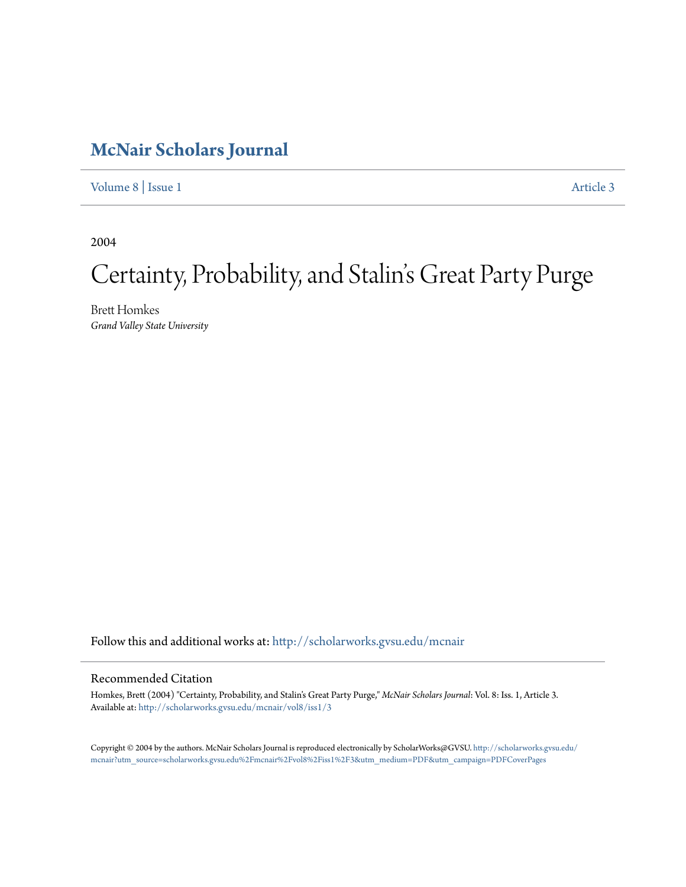## **[McNair Scholars Journal](http://scholarworks.gvsu.edu/mcnair?utm_source=scholarworks.gvsu.edu%2Fmcnair%2Fvol8%2Fiss1%2F3&utm_medium=PDF&utm_campaign=PDFCoverPages)**

[Volume 8](http://scholarworks.gvsu.edu/mcnair/vol8?utm_source=scholarworks.gvsu.edu%2Fmcnair%2Fvol8%2Fiss1%2F3&utm_medium=PDF&utm_campaign=PDFCoverPages) | [Issue 1](http://scholarworks.gvsu.edu/mcnair/vol8/iss1?utm_source=scholarworks.gvsu.edu%2Fmcnair%2Fvol8%2Fiss1%2F3&utm_medium=PDF&utm_campaign=PDFCoverPages) [Article 3](http://scholarworks.gvsu.edu/mcnair/vol8/iss1/3?utm_source=scholarworks.gvsu.edu%2Fmcnair%2Fvol8%2Fiss1%2F3&utm_medium=PDF&utm_campaign=PDFCoverPages)

2004

# Certainty, Probability, and Stalin's Great Party Purge

Brett Homkes *Grand Valley State University*

Follow this and additional works at: [http://scholarworks.gvsu.edu/mcnair](http://scholarworks.gvsu.edu/mcnair?utm_source=scholarworks.gvsu.edu%2Fmcnair%2Fvol8%2Fiss1%2F3&utm_medium=PDF&utm_campaign=PDFCoverPages)

### Recommended Citation

Homkes, Brett (2004) "Certainty, Probability, and Stalin's Great Party Purge," *McNair Scholars Journal*: Vol. 8: Iss. 1, Article 3. Available at: [http://scholarworks.gvsu.edu/mcnair/vol8/iss1/3](http://scholarworks.gvsu.edu/mcnair/vol8/iss1/3?utm_source=scholarworks.gvsu.edu%2Fmcnair%2Fvol8%2Fiss1%2F3&utm_medium=PDF&utm_campaign=PDFCoverPages)

Copyright © 2004 by the authors. McNair Scholars Journal is reproduced electronically by ScholarWorks@GVSU. [http://scholarworks.gvsu.edu/](http://scholarworks.gvsu.edu/mcnair?utm_source=scholarworks.gvsu.edu%2Fmcnair%2Fvol8%2Fiss1%2F3&utm_medium=PDF&utm_campaign=PDFCoverPages) [mcnair?utm\\_source=scholarworks.gvsu.edu%2Fmcnair%2Fvol8%2Fiss1%2F3&utm\\_medium=PDF&utm\\_campaign=PDFCoverPages](http://scholarworks.gvsu.edu/mcnair?utm_source=scholarworks.gvsu.edu%2Fmcnair%2Fvol8%2Fiss1%2F3&utm_medium=PDF&utm_campaign=PDFCoverPages)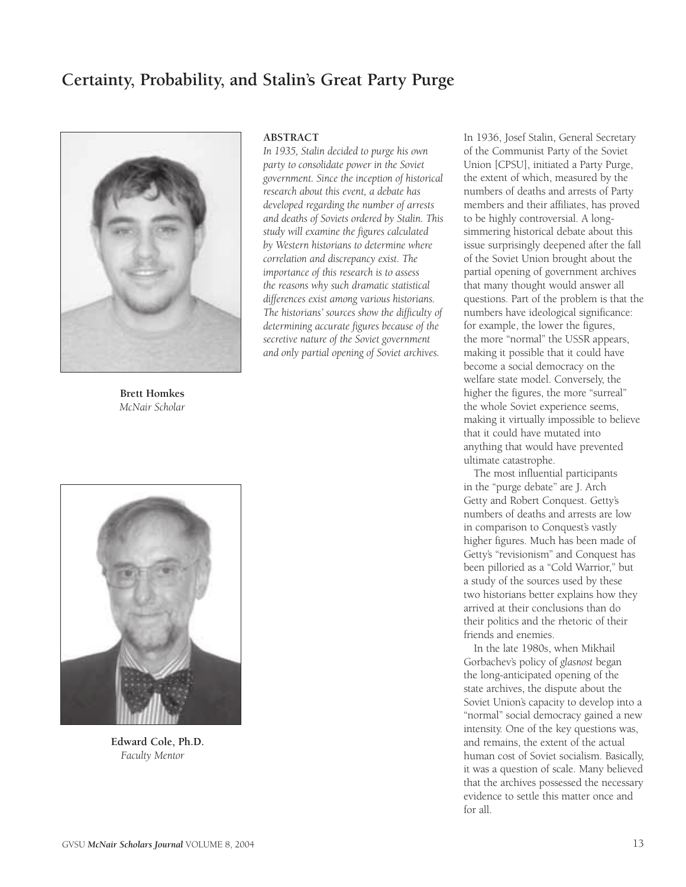### **Certainty, Probability, and Stalin's Great Party Purge**



**Brett Homkes** *McNair Scholar*

#### **ABSTRACT**

*In 1935, Stalin decided to purge his own party to consolidate power in the Soviet government. Since the inception of historical research about this event, a debate has developed regarding the number of arrests and deaths of Soviets ordered by Stalin. This study will examine the figures calculated by Western historians to determine where correlation and discrepancy exist. The importance of this research is to assess the reasons why such dramatic statistical differences exist among various historians. The historians' sources show the difficulty of determining accurate figures because of the secretive nature of the Soviet government and only partial opening of Soviet archives.*



**Edward Cole, Ph.D.** *Faculty Mentor*

of the Communist Party of the Soviet Union [CPSU], initiated a Party Purge, the extent of which, measured by the numbers of deaths and arrests of Party members and their affiliates, has proved to be highly controversial. A longsimmering historical debate about this issue surprisingly deepened after the fall of the Soviet Union brought about the partial opening of government archives that many thought would answer all questions. Part of the problem is that the numbers have ideological significance: for example, the lower the figures, the more "normal" the USSR appears, making it possible that it could have become a social democracy on the welfare state model. Conversely, the higher the figures, the more "surreal" the whole Soviet experience seems, making it virtually impossible to believe that it could have mutated into anything that would have prevented ultimate catastrophe.

In 1936, Josef Stalin, General Secretary

The most influential participants in the "purge debate" are J. Arch Getty and Robert Conquest. Getty's numbers of deaths and arrests are low in comparison to Conquest's vastly higher figures. Much has been made of Getty's "revisionism" and Conquest has been pilloried as a "Cold Warrior," but a study of the sources used by these two historians better explains how they arrived at their conclusions than do their politics and the rhetoric of their friends and enemies.

In the late 1980s, when Mikhail Gorbachev's policy of *glasnost* began the long-anticipated opening of the state archives, the dispute about the Soviet Union's capacity to develop into a "normal" social democracy gained a new intensity. One of the key questions was, and remains, the extent of the actual human cost of Soviet socialism. Basically, it was a question of scale. Many believed that the archives possessed the necessary evidence to settle this matter once and for all.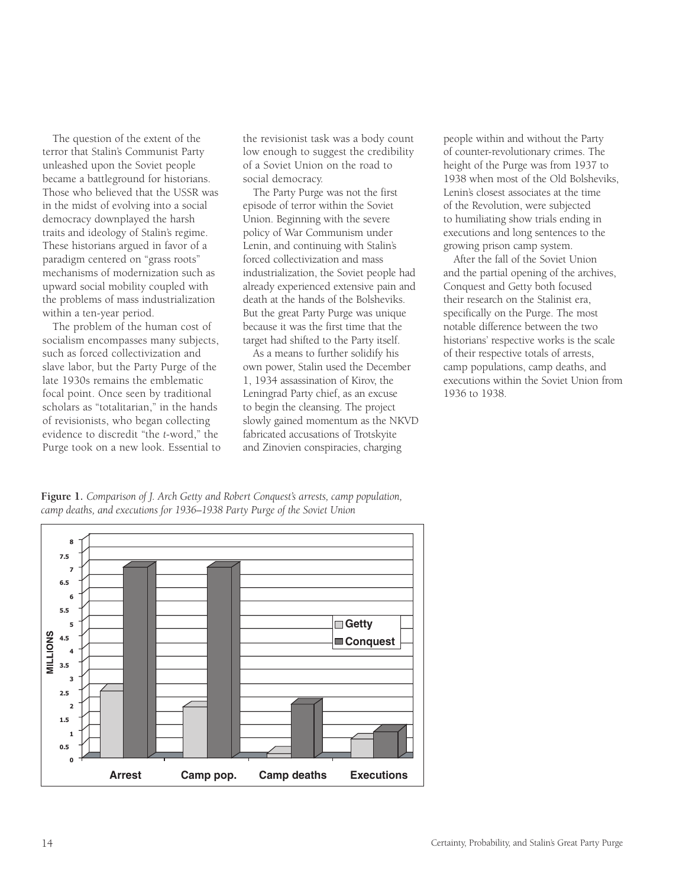The question of the extent of the terror that Stalin's Communist Party unleashed upon the Soviet people became a battleground for historians. Those who believed that the USSR was in the midst of evolving into a social democracy downplayed the harsh traits and ideology of Stalin's regime. These historians argued in favor of a paradigm centered on "grass roots" mechanisms of modernization such as upward social mobility coupled with the problems of mass industrialization within a ten-year period.

The problem of the human cost of socialism encompasses many subjects, such as forced collectivization and slave labor, but the Party Purge of the late 1930s remains the emblematic focal point. Once seen by traditional scholars as "totalitarian," in the hands of revisionists, who began collecting evidence to discredit "the *t*-word," the Purge took on a new look. Essential to the revisionist task was a body count low enough to suggest the credibility of a Soviet Union on the road to social democracy.

The Party Purge was not the first episode of terror within the Soviet Union. Beginning with the severe policy of War Communism under Lenin, and continuing with Stalin's forced collectivization and mass industrialization, the Soviet people had already experienced extensive pain and death at the hands of the Bolsheviks. But the great Party Purge was unique because it was the first time that the target had shifted to the Party itself.

As a means to further solidify his own power, Stalin used the December 1, 1934 assassination of Kirov, the Leningrad Party chief, as an excuse to begin the cleansing. The project slowly gained momentum as the NKVD fabricated accusations of Trotskyite and Zinovien conspiracies, charging

people within and without the Party of counter-revolutionary crimes. The height of the Purge was from 1937 to 1938 when most of the Old Bolsheviks, Lenin's closest associates at the time of the Revolution, were subjected to humiliating show trials ending in executions and long sentences to the growing prison camp system.

After the fall of the Soviet Union and the partial opening of the archives, Conquest and Getty both focused their research on the Stalinist era, specifically on the Purge. The most notable difference between the two historians' respective works is the scale of their respective totals of arrests, camp populations, camp deaths, and executions within the Soviet Union from 1936 to 1938.

**Figure 1.** *Comparison of J. Arch Getty and Robert Conquest's arrests, camp population, camp deaths, and executions for 1936–1938 Party Purge of the Soviet Union*

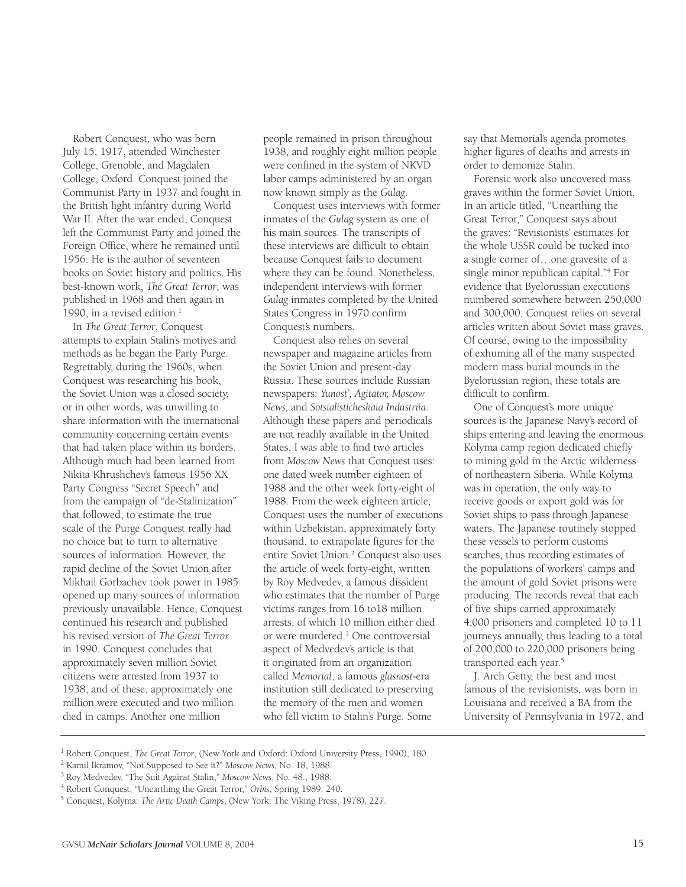Robert Conquest, who was born July 15, 1917, attended Winchester College, Grenoble, and Magdalen College, Oxford. Conquest joined the Communist Party in 1937 and fought in the British light infantry during World War II. After the war ended, Conquest left the Communist Party and joined the Foreign Office, where he remained until 1956. He is the author of seventeen books on Soviet history and politics. His best-known work, *The Great Terror*, was published in 1968 and then again in 1990, in a revised edition.<sup>1</sup>

In *The Great Terror*, Conquest attempts to explain Stalin's motives and methods as he began the Party Purge. Regrettably, during the 1960s, when Conquest was researching his book, the Soviet Union was a closed society, or in other words, was unwilling to share information with the international community concerning certain events that had taken place within its borders. Although much had been learned from Nikita Khrushchev's famous 1956 XX Party Congress "Secret Speech" and from the campaign of "de-Stalinization" that followed, to estimate the true scale of the Purge Conquest really had no choice but to turn to alternative sources of information. However, the rapid decline of the Soviet Union after Mikhail Gorbachev took power in 1985 opened up many sources of information previously unavailable. Hence, Conquest continued his research and published his revised version of *The Great Terror* in 1990. Conquest concludes that approximately seven million Soviet citizens were arrested from 1937 to 1938, and of these, approximately one million were executed and two million died in camps. Another one million

people remained in prison throughout 1938, and roughly eight million people were confined in the system of NKVD labor camps administered by an organ now known simply as the *Gulag*.

Conquest uses interviews with former inmates of the *Gulag* system as one of his main sources. The transcripts of these interviews are difficult to obtain because Conquest fails to document where they can be found. Nonetheless, independent interviews with former *Gulag* inmates completed by the United States Congress in 1970 confirm Conquest's numbers.

Conquest also relies on several newspaper and magazine articles from the Soviet Union and present-day Russia. These sources include Russian newspapers: *Yunost', Agitator, Moscow News,* and *Sotsialisticheskaia Industriia*. Although these papers and periodicals are not readily available in the United States, I was able to find two articles from *Moscow News* that Conquest uses: one dated week number eighteen of 1988 and the other week forty-eight of 1988. From the week eighteen article, Conquest uses the number of executions within Uzbekistan, approximately forty thousand, to extrapolate figures for the entire Soviet Union.<sup>2</sup> Conquest also uses the article of week forty-eight, written by Roy Medvedev, a famous dissident who estimates that the number of Purge victims ranges from 16 to18 million arrests, of which 10 million either died or were murdered.3 One controversial aspect of Medvedev's article is that it originated from an organization called *Memorial*, a famous *glasnost*-era institution still dedicated to preserving the memory of the men and women who fell victim to Stalin's Purge. Some

say that Memorial's agenda promotes higher figures of deaths and arrests in order to demonize Stalin.

Forensic work also uncovered mass graves within the former Soviet Union. In an article titled, "Unearthing the Great Terror," Conquest says about the graves: "Revisionists' estimates for the whole USSR could be tucked into a single corner of…one gravesite of a single minor republican capital."4 For evidence that Byelorussian executions numbered somewhere between 250,000 and 300,000, Conquest relies on several articles written about Soviet mass graves. Of course, owing to the impossibility of exhuming all of the many suspected modern mass burial mounds in the Byelorussian region, these totals are difficult to confirm.

One of Conquest's more unique sources is the Japanese Navy's record of ships entering and leaving the enormous Kolyma camp region dedicated chiefly to mining gold in the Arctic wilderness of northeastern Siberia. While Kolyma was in operation, the only way to receive goods or export gold was for Soviet ships to pass through Japanese waters. The Japanese routinely stopped these vessels to perform customs searches, thus recording estimates of the populations of workers' camps and the amount of gold Soviet prisons were producing. The records reveal that each of five ships carried approximately 4,000 prisoners and completed 10 to 11 journeys annually, thus leading to a total of 200,000 to 220,000 prisoners being transported each year.<sup>5</sup>

J. Arch Getty, the best and most famous of the revisionists, was born in Louisiana and received a BA from the University of Pennsylvania in 1972, and

<sup>&</sup>lt;sup>1</sup> Robert Conquest, *The Great Terror*, (New York and Oxford: Oxford University Press, 1990), 180.<br><sup>2</sup> Kamil Ikramov, "Not Supposed to See it?" *Moscow News*, No. 18, 1988.<br><sup>3</sup> Roy Medvedev, "The Suit Against Stalin," *Mo* 

<sup>4</sup> Robert Conquest, "Unearthing the Great Terror," *Orbis*, Spring 1989: 240. 5 Conquest, Kolyma: *The Artic Death Camps*, (New York: The Viking Press, 1978), 227.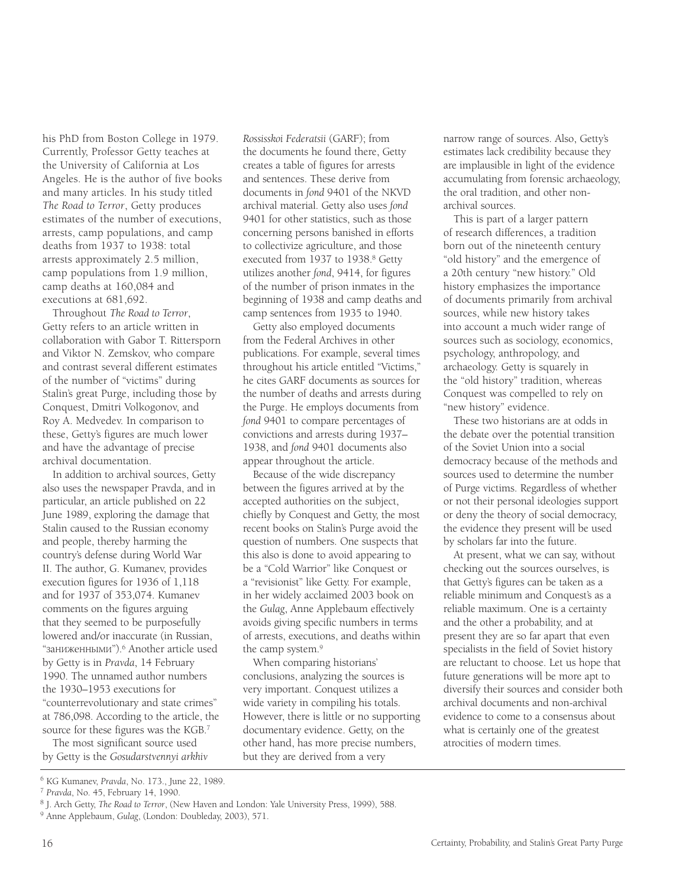his PhD from Boston College in 1979. Currently, Professor Getty teaches at the University of California at Los Angeles. He is the author of five books and many articles. In his study titled *The Road to Terror*, Getty produces estimates of the number of executions, arrests, camp populations, and camp deaths from 1937 to 1938: total arrests approximately 2.5 million, camp populations from 1.9 million, camp deaths at 160,084 and executions at 681,692.

Throughout *The Road to Terror*, Getty refers to an article written in collaboration with Gabor T. Rittersporn and Viktor N. Zemskov, who compare and contrast several different estimates of the number of "victims" during Stalin's great Purge, including those by Conquest, Dmitri Volkogonov, and Roy A. Medvedev. In comparison to these, Getty's figures are much lower and have the advantage of precise archival documentation.

In addition to archival sources, Getty also uses the newspaper Pravda, and in particular, an article published on 22 June 1989, exploring the damage that Stalin caused to the Russian economy and people, thereby harming the country's defense during World War II. The author, G. Kumanev, provides execution figures for 1936 of 1,118 and for 1937 of 353,074. Kumanev comments on the figures arguing that they seemed to be purposefully lowered and/or inaccurate (in Russian, "ЗаНИЖеННЬІМИ").6 Another article used by Getty is in *Pravda*, 14 February 1990. The unnamed author numbers the 1930–1953 executions for "counterrevolutionary and state crimes" at 786,098. According to the article, the source for these figures was the KGB.7

The most significant source used by Getty is the *Gosudarstvennyi arkhiv*  *Rossisskoi Federatsii* (GARF); from the documents he found there, Getty creates a table of figures for arrests and sentences. These derive from documents in *fond* 9401 of the NKVD archival material. Getty also uses *fond* 9401 for other statistics, such as those concerning persons banished in efforts to collectivize agriculture, and those executed from 1937 to 1938.<sup>8</sup> Getty utilizes another *fond*, 9414, for figures of the number of prison inmates in the beginning of 1938 and camp deaths and camp sentences from 1935 to 1940.

Getty also employed documents from the Federal Archives in other publications. For example, several times throughout his article entitled "Victims," he cites GARF documents as sources for the number of deaths and arrests during the Purge. He employs documents from *fond* 9401 to compare percentages of convictions and arrests during 1937– 1938, and *fond* 9401 documents also appear throughout the article.

Because of the wide discrepancy between the figures arrived at by the accepted authorities on the subject, chiefly by Conquest and Getty, the most recent books on Stalin's Purge avoid the question of numbers. One suspects that this also is done to avoid appearing to be a "Cold Warrior" like Conquest or a "revisionist" like Getty. For example, in her widely acclaimed 2003 book on the *Gulag*, Anne Applebaum effectively avoids giving specific numbers in terms of arrests, executions, and deaths within the camp system.<sup>9</sup>

When comparing historians' conclusions, analyzing the sources is very important. Conquest utilizes a wide variety in compiling his totals. However, there is little or no supporting documentary evidence. Getty, on the other hand, has more precise numbers, but they are derived from a very

narrow range of sources. Also, Getty's estimates lack credibility because they are implausible in light of the evidence accumulating from forensic archaeology, the oral tradition, and other nonarchival sources.

This is part of a larger pattern of research differences, a tradition born out of the nineteenth century "old history" and the emergence of a 20th century "new history." Old history emphasizes the importance of documents primarily from archival sources, while new history takes into account a much wider range of sources such as sociology, economics, psychology, anthropology, and archaeology. Getty is squarely in the "old history" tradition, whereas Conquest was compelled to rely on "new history" evidence.

These two historians are at odds in the debate over the potential transition of the Soviet Union into a social democracy because of the methods and sources used to determine the number of Purge victims. Regardless of whether or not their personal ideologies support or deny the theory of social democracy, the evidence they present will be used by scholars far into the future.

At present, what we can say, without checking out the sources ourselves, is that Getty's figures can be taken as a reliable minimum and Conquest's as a reliable maximum. One is a certainty and the other a probability, and at present they are so far apart that even specialists in the field of Soviet history are reluctant to choose. Let us hope that future generations will be more apt to diversify their sources and consider both archival documents and non-archival evidence to come to a consensus about what is certainly one of the greatest atrocities of modern times.

<sup>6</sup> KG Kumanev, *Pravda*, No. 173., June 22, 1989.

<sup>&</sup>lt;sup>7</sup> Pravda, No. 45, February 14, 1990.<br><sup>8</sup> J. Arch Getty, *The Road to Terror*, (New Haven and London: Yale University Press, 1999), 588.

<sup>9</sup> Anne Applebaum, *Gulag*, (London: Doubleday, 2003), 571.